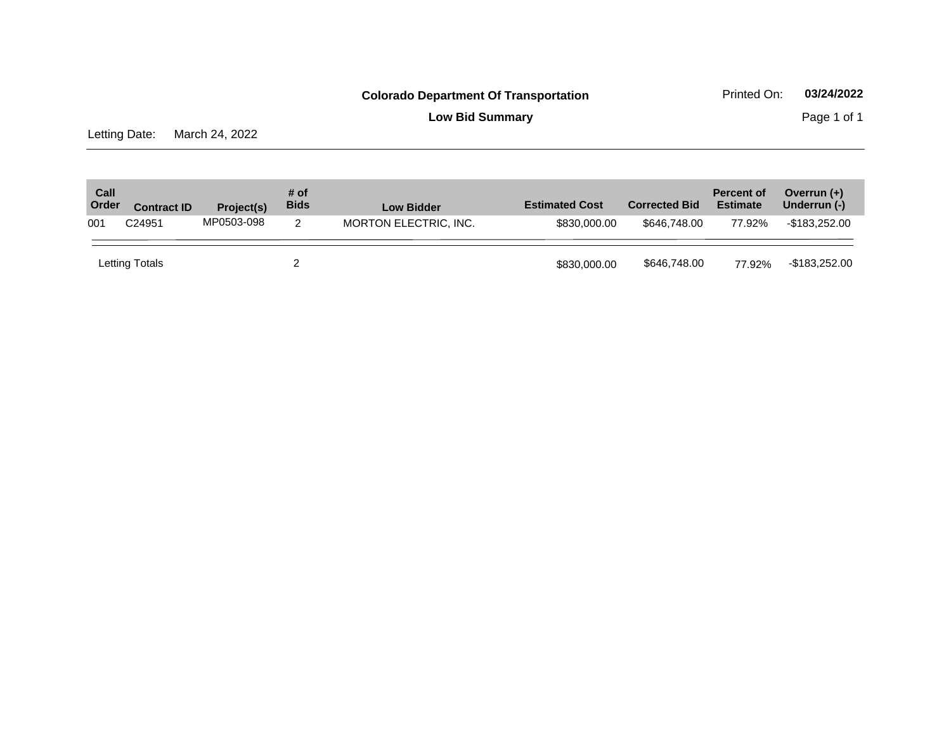**Low Bid Summary** Page 1 of 1

Letting Date: March 24, 2022

| Call<br>Order | <b>Contract ID</b> | Project(s) | # of<br><b>Bids</b> | <b>Low Bidder</b>     | <b>Estimated Cost</b> | <b>Corrected Bid</b> | <b>Percent of</b><br><b>Estimate</b> | Overrun $(+)$<br>Underrun (-) |
|---------------|--------------------|------------|---------------------|-----------------------|-----------------------|----------------------|--------------------------------------|-------------------------------|
| 001           | C24951             | MP0503-098 | 2                   | MORTON ELECTRIC, INC. | \$830,000,00          | \$646,748,00         | 77.92%                               | -\$183.252.00                 |
|               | Letting Totals     |            |                     |                       | \$830,000.00          | \$646,748.00         | 77.92%                               | -\$183,252.00                 |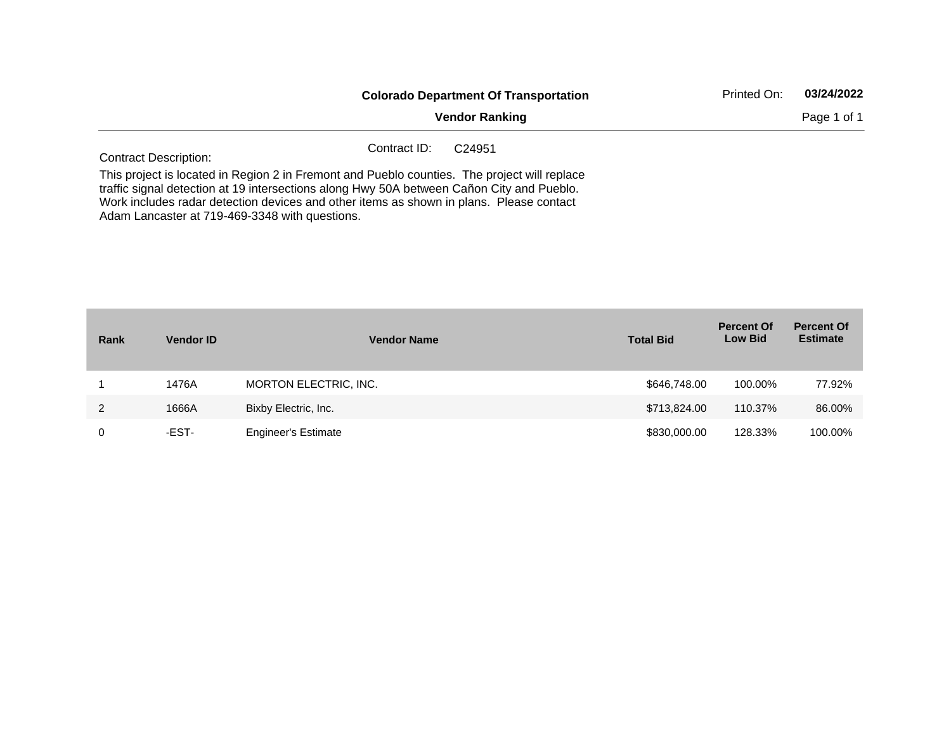|                              | <b>Colorado Department Of Transportation</b>                                                                                                                                                                                                                                         | Printed On: | 03/24/2022  |
|------------------------------|--------------------------------------------------------------------------------------------------------------------------------------------------------------------------------------------------------------------------------------------------------------------------------------|-------------|-------------|
|                              | <b>Vendor Ranking</b>                                                                                                                                                                                                                                                                |             | Page 1 of 1 |
| <b>Contract Description:</b> | Contract ID:<br>C <sub>24951</sub>                                                                                                                                                                                                                                                   |             |             |
|                              | This project is located in Region 2 in Fremont and Pueblo counties. The project will replace<br>traffic signal detection at 19 intersections along Hwy 50A between Cañon City and Pueblo.<br>Work includes radar detection devices and other items as shown in plans. Please contact |             |             |

Adam Lancaster at 719-469-3348 with questions.

| Rank | <b>Vendor ID</b> | <b>Vendor Name</b>         | <b>Total Bid</b> | <b>Percent Of</b><br><b>Low Bid</b> | <b>Percent Of</b><br><b>Estimate</b> |
|------|------------------|----------------------------|------------------|-------------------------------------|--------------------------------------|
|      | 1476A            | MORTON ELECTRIC, INC.      | \$646,748.00     | 100.00%                             | 77.92%                               |
| 2    | 1666A            | Bixby Electric, Inc.       | \$713,824.00     | 110.37%                             | 86.00%                               |
| 0    | -EST-            | <b>Engineer's Estimate</b> | \$830,000.00     | 128.33%                             | 100.00%                              |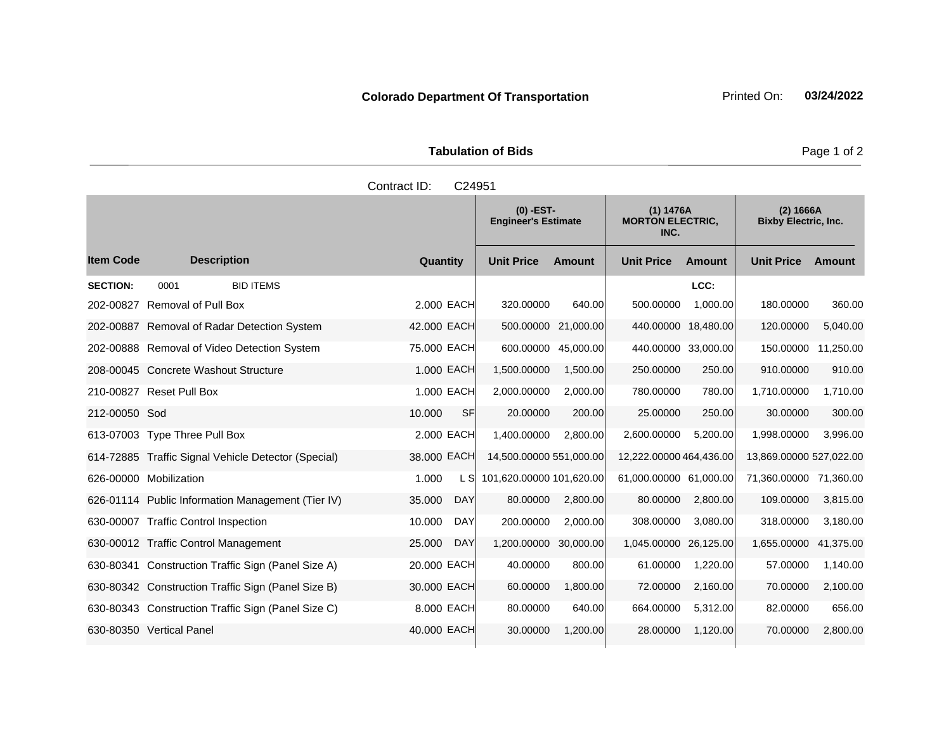| <b>Tabulation of Bids</b> |  |
|---------------------------|--|

|                  |                                                     | Contract ID: | C24951     |                                           |                     |                                              |               |                                          |               |
|------------------|-----------------------------------------------------|--------------|------------|-------------------------------------------|---------------------|----------------------------------------------|---------------|------------------------------------------|---------------|
|                  |                                                     |              |            | $(0)$ -EST-<br><b>Engineer's Estimate</b> |                     | (1) 1476A<br><b>MORTON ELECTRIC,</b><br>INC. |               | (2) 1666A<br><b>Bixby Electric, Inc.</b> |               |
| <b>Item Code</b> | <b>Description</b>                                  | Quantity     |            | <b>Unit Price</b>                         | <b>Amount</b>       | <b>Unit Price</b>                            | <b>Amount</b> | <b>Unit Price</b>                        | <b>Amount</b> |
| <b>SECTION:</b>  | 0001<br><b>BID ITEMS</b>                            |              |            |                                           |                     |                                              | LCC:          |                                          |               |
| 202-00827        | <b>Removal of Pull Box</b>                          | 2.000 EACH   |            | 320.00000                                 | 640.00              | 500.00000                                    | 1,000.00      | 180.00000                                | 360.00        |
| 202-00887        | Removal of Radar Detection System                   | 42.000 EACH  |            | 500.00000                                 | 21,000.00           | 440.00000 18,480.00                          |               | 120.00000                                | 5,040.00      |
|                  | 202-00888 Removal of Video Detection System         | 75.000 EACH  |            |                                           | 600.00000 45,000.00 | 440.00000 33,000.00                          |               | 150.00000 11,250.00                      |               |
|                  | 208-00045 Concrete Washout Structure                | 1.000 EACH   |            | 1,500.00000                               | 1,500.00            | 250.00000                                    | 250.00        | 910.00000                                | 910.00        |
|                  | 210-00827 Reset Pull Box                            | 1.000 EACH   |            | 2,000.00000                               | 2,000.00            | 780.00000                                    | 780.00        | 1,710.00000                              | 1,710.00      |
| 212-00050 Sod    |                                                     | 10.000       | <b>SF</b>  | 20.00000                                  | 200.00              | 25.00000                                     | 250.00        | 30.00000                                 | 300.00        |
|                  | 613-07003 Type Three Pull Box                       | 2.000 EACH   |            | 1,400.00000                               | 2,800.00            | 2,600.00000                                  | 5,200.00      | 1,998.00000                              | 3,996.00      |
|                  | 614-72885 Traffic Signal Vehicle Detector (Special) | 38.000 EACH  |            | 14,500.00000 551,000.00                   |                     | 12,222.00000 464,436.00                      |               | 13,869.00000 527,022.00                  |               |
|                  | 626-00000 Mobilization                              | 1.000        | L SI       | 101,620.00000 101,620.00                  |                     | 61,000.00000 61,000.00                       |               | 71,360.00000 71,360.00                   |               |
|                  | 626-01114 Public Information Management (Tier IV)   | 35.000       | <b>DAY</b> | 80.00000                                  | 2,800.00            | 80.00000                                     | 2,800.00      | 109.00000                                | 3,815.00      |
|                  | 630-00007 Traffic Control Inspection                | 10.000       | <b>DAY</b> | 200.00000                                 | 2,000.00            | 308.00000                                    | 3,080.00      | 318.00000                                | 3,180.00      |
|                  | 630-00012 Traffic Control Management                | 25.000       | <b>DAY</b> | 1,200.00000                               | 30,000.00           | 1,045.00000                                  | 26,125.00     | 1,655.00000                              | 41,375.00     |
|                  | 630-80341 Construction Traffic Sign (Panel Size A)  | 20.000 EACH  |            | 40.00000                                  | 800.00              | 61.00000                                     | 1,220.00      | 57.00000                                 | 1,140.00      |
|                  | 630-80342 Construction Traffic Sign (Panel Size B)  | 30.000 EACH  |            | 60.00000                                  | 1,800.00            | 72.00000                                     | 2,160.00      | 70.00000                                 | 2,100.00      |
|                  | 630-80343 Construction Traffic Sign (Panel Size C)  | 8.000 EACH   |            | 80.00000                                  | 640.00              | 664.00000                                    | 5,312.00      | 82.00000                                 | 656.00        |
|                  | 630-80350 Vertical Panel                            | 40.000 EACH  |            | 30.00000                                  | 1,200.00            | 28.00000                                     | 1,120.00      | 70.00000                                 | 2,800.00      |
|                  |                                                     |              |            |                                           |                     |                                              |               |                                          |               |

Page 1 of 2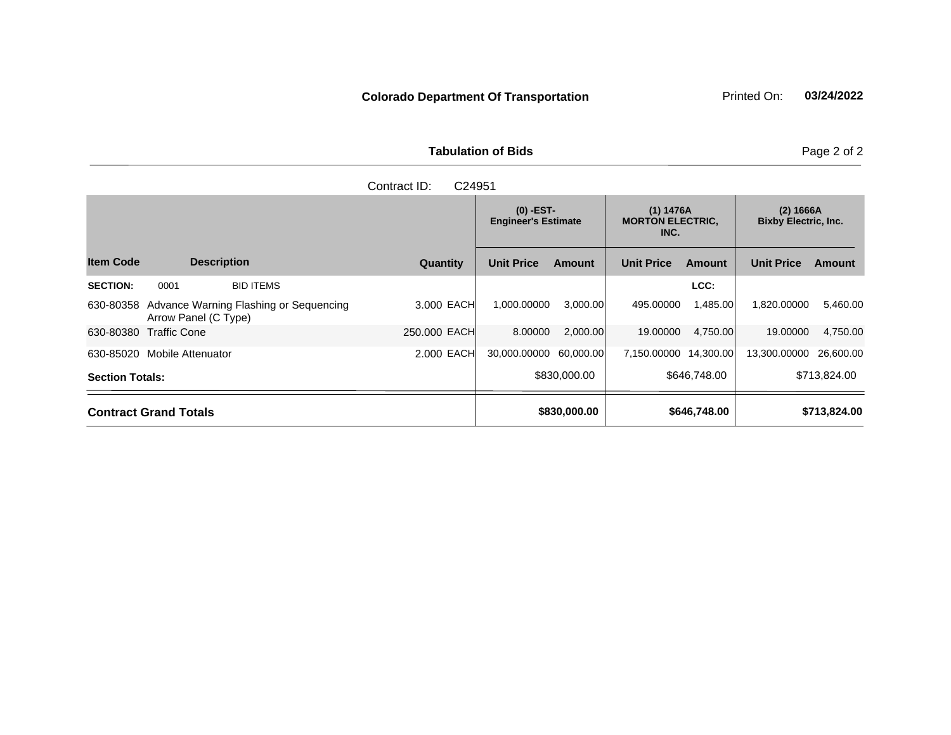| <b>Tabulation of Bids</b> | Page 2 of 2 |  |
|---------------------------|-------------|--|
| Contract ID: C24951       |             |  |
|                           |             |  |

a sa kacamatan ing Kabupatèn Kabupatèn Ing

|                        |                                                                |              |                        | $(0)$ -EST-<br><b>Engineer's Estimate</b> |                       | (1) 1476A<br><b>MORTON ELECTRIC.</b><br>INC. |                   | (2) 1666A<br><b>Bixby Electric, Inc.</b> |  |
|------------------------|----------------------------------------------------------------|--------------|------------------------|-------------------------------------------|-----------------------|----------------------------------------------|-------------------|------------------------------------------|--|
| <b>Item Code</b>       | <b>Description</b>                                             | Quantity     | <b>Unit Price</b>      | Amount                                    | <b>Unit Price</b>     | <b>Amount</b>                                | <b>Unit Price</b> | Amount                                   |  |
| <b>SECTION:</b>        | 0001<br><b>BID ITEMS</b>                                       |              |                        |                                           |                       | LCC:                                         |                   |                                          |  |
| 630-80358              | Advance Warning Flashing or Sequencing<br>Arrow Panel (C Type) | 3.000 EACH   | 1.000.00000            | 3,000.00                                  | 495.00000             | 1,485.00                                     | 1.820.00000       | 5,460.00                                 |  |
| 630-80380              | Traffic Cone                                                   | 250.000 EACH | 8.00000                | 2,000.00                                  | 19.00000              | 4,750.00                                     | 19.00000          | 4,750.00                                 |  |
|                        | 630-85020 Mobile Attenuator                                    | 2.000 EACH   | 30,000.00000 60,000.00 |                                           | 7,150.00000 14,300.00 |                                              | 13,300.00000      | 26,600.00                                |  |
| <b>Section Totals:</b> |                                                                | \$830,000,00 |                        | \$646,748,00                              |                       | \$713,824.00                                 |                   |                                          |  |
|                        | <b>Contract Grand Totals</b>                                   |              | \$830,000.00           |                                           | \$646,748.00          |                                              | \$713,824.00      |                                          |  |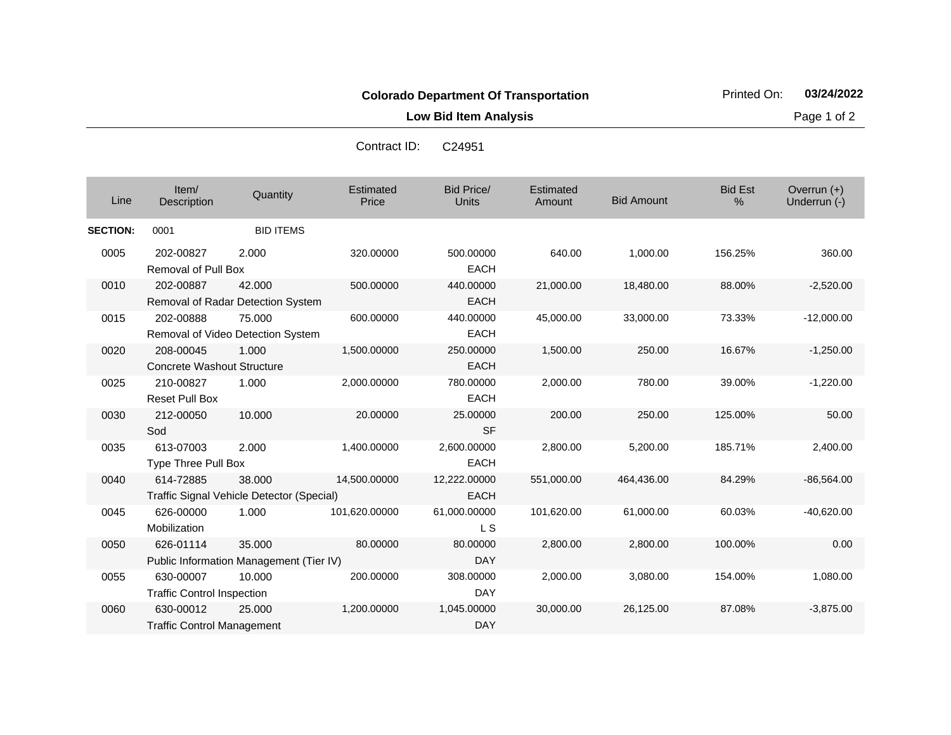**Low Bid Item Analysis Page 1 of 2** 

Contract ID: C24951

| Line            | Item/<br>Description                           | Quantity                                            | Estimated<br>Price | Bid Price/<br>Units         | Estimated<br>Amount | <b>Bid Amount</b> | <b>Bid Est</b><br>% | Overrun (+)<br>Underrun (-) |
|-----------------|------------------------------------------------|-----------------------------------------------------|--------------------|-----------------------------|---------------------|-------------------|---------------------|-----------------------------|
| <b>SECTION:</b> | 0001                                           | <b>BID ITEMS</b>                                    |                    |                             |                     |                   |                     |                             |
| 0005            | 202-00827<br><b>Removal of Pull Box</b>        | 2.000                                               | 320.00000          | 500.00000<br><b>EACH</b>    | 640.00              | 1,000.00          | 156.25%             | 360.00                      |
| 0010            | 202-00887                                      | 42.000<br>Removal of Radar Detection System         | 500.00000          | 440.00000<br><b>EACH</b>    | 21,000.00           | 18,480.00         | 88.00%              | $-2,520.00$                 |
| 0015            | 202-00888                                      | 75.000<br>Removal of Video Detection System         | 600.00000          | 440.00000<br><b>EACH</b>    | 45,000.00           | 33,000.00         | 73.33%              | $-12,000.00$                |
| 0020            | 208-00045<br><b>Concrete Washout Structure</b> | 1.000                                               | 1,500.00000        | 250.00000<br><b>EACH</b>    | 1,500.00            | 250.00            | 16.67%              | $-1,250.00$                 |
| 0025            | 210-00827<br><b>Reset Pull Box</b>             | 1.000                                               | 2,000.00000        | 780.00000<br><b>EACH</b>    | 2,000.00            | 780.00            | 39.00%              | $-1,220.00$                 |
| 0030            | 212-00050<br>Sod                               | 10.000                                              | 20.00000           | 25.00000<br><b>SF</b>       | 200.00              | 250.00            | 125.00%             | 50.00                       |
| 0035            | 613-07003<br><b>Type Three Pull Box</b>        | 2.000                                               | 1,400.00000        | 2,600.00000<br><b>EACH</b>  | 2,800.00            | 5,200.00          | 185.71%             | 2,400.00                    |
| 0040            | 614-72885                                      | 38.000<br>Traffic Signal Vehicle Detector (Special) | 14,500.00000       | 12,222.00000<br><b>EACH</b> | 551,000.00          | 464,436.00        | 84.29%              | $-86,564.00$                |
| 0045            | 626-00000<br>Mobilization                      | 1.000                                               | 101,620.00000      | 61,000.00000<br><b>LS</b>   | 101,620.00          | 61,000.00         | 60.03%              | $-40,620.00$                |
| 0050            | 626-01114                                      | 35.000<br>Public Information Management (Tier IV)   | 80.00000           | 80.00000<br><b>DAY</b>      | 2,800.00            | 2,800.00          | 100.00%             | 0.00                        |
| 0055            | 630-00007<br><b>Traffic Control Inspection</b> | 10.000                                              | 200.00000          | 308.00000<br><b>DAY</b>     | 2,000.00            | 3,080.00          | 154.00%             | 1,080.00                    |
| 0060            | 630-00012<br><b>Traffic Control Management</b> | 25,000                                              | 1,200.00000        | 1,045.00000<br><b>DAY</b>   | 30,000.00           | 26,125.00         | 87.08%              | $-3,875.00$                 |